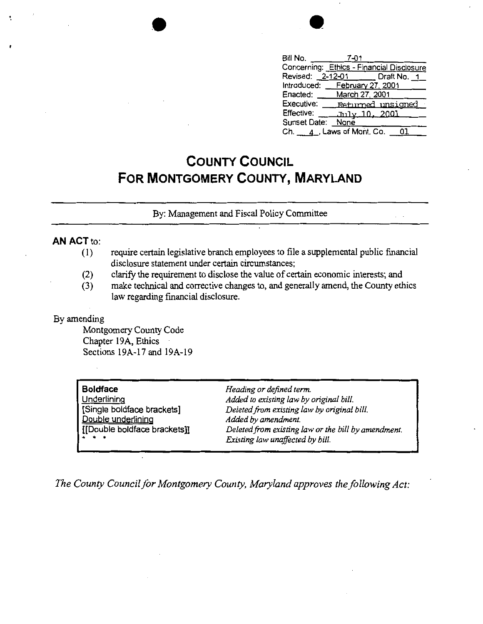

| Bill No.                                  | 7-01                   |                   |
|-------------------------------------------|------------------------|-------------------|
| Concerning: Ethics - Financial Disclosure |                        |                   |
| Revised: 2-12-01 _____ Draft No. 1        |                        |                   |
| Introduced: February 27, 2001             |                        |                   |
| Enacted:                                  | March 27, 2001         |                   |
| Executive:                                |                        | Returned unsigned |
| Effective:                                | <u>- July 10, 2001</u> |                   |
| Sunset Date: None                         |                        |                   |
| Ch. $\_\_4$ , Laws of Mont. Co.           |                        |                   |

## **COUNTY COUNCIL FOR MONTGOMERY COUNTY, MARYLAND**

By: Management and Fiscal Policy Committee

## **AN ACT** to:

- (1) require certain legislative branch employees to file a supplemental public financial disclosure statement under certain circumstances;
- (2) clarify the requirement to disclose the value of certain economic interests; and
- (3) make technical and corrective changes to, and generally amend, the County ethics law regarding financial disclosure.

## By amending

Montgomery County Code Chapter 19A, Ethics Sections 19A-17 and 19A-19

| <b>Boldface</b>              |
|------------------------------|
| Underlining                  |
| [Single boldface brackets]   |
| Double underlining           |
| [[Double boldface brackets]] |
|                              |

*Heading or defined term. Added to existing law by original bill. Deleted.from existing law by original bill. Added by amendment. Deleted from existing law or the bill by amendment. Existing law unaffected by bill.* 

The County Council for Montgomery County, Maryland approves the following Act: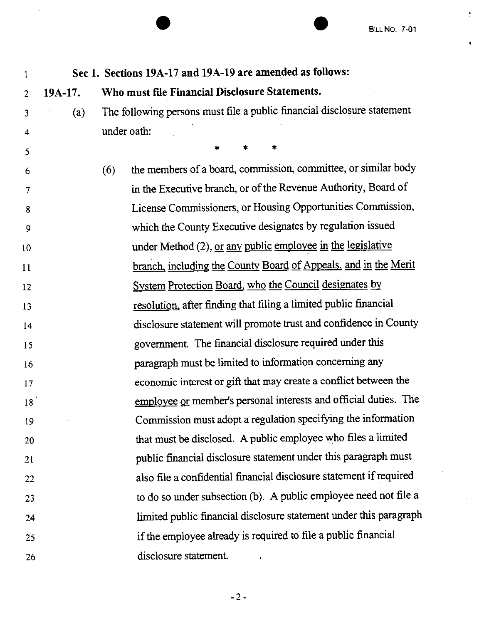$\frac{1}{2}$ 

 $\bullet$ 

| 1                       |           | Sec 1. Sections 19A-17 and 19A-19 are amended as follows:               |
|-------------------------|-----------|-------------------------------------------------------------------------|
| $\overline{2}$          | $19A-17.$ | Who must file Financial Disclosure Statements.                          |
| 3                       | (a)       | The following persons must file a public financial disclosure statement |
| $\overline{\mathbf{4}}$ |           | under oath:                                                             |
| 5                       |           | *                                                                       |
| 6                       |           | the members of a board, commission, committee, or similar body<br>(6)   |
| $\tau$                  |           | in the Executive branch, or of the Revenue Authority, Board of          |
| 8                       |           | License Commissioners, or Housing Opportunities Commission,             |
| 9                       |           | which the County Executive designates by regulation issued              |
| 10                      |           | under Method (2), or any public employee in the legislative             |
| 11                      |           | branch, including the County Board of Appeals, and in the Merit         |
| 12                      |           | System Protection Board, who the Council designates by                  |
| 13                      |           | resolution, after finding that filing a limited public financial        |
| 14                      |           | disclosure statement will promote trust and confidence in County        |
| 15                      |           | government. The financial disclosure required under this                |
| 16                      |           | paragraph must be limited to information concerning any                 |
| 17                      |           | economic interest or gift that may create a conflict between the        |
| 18                      |           | employee or member's personal interests and official duties. The        |
| 19                      |           | Commission must adopt a regulation specifying the information           |
| 20                      |           | that must be disclosed. A public employee who files a limited           |
| 21                      |           | public financial disclosure statement under this paragraph must         |
| 22                      |           | also file a confidential financial disclosure statement if required     |
| 23                      |           | to do so under subsection (b). A public employee need not file a        |
| 24                      |           | limited public financial disclosure statement under this paragraph      |
| 25                      |           | if the employee already is required to file a public financial          |
| 26                      |           | disclosure statement.                                                   |

ý

-2-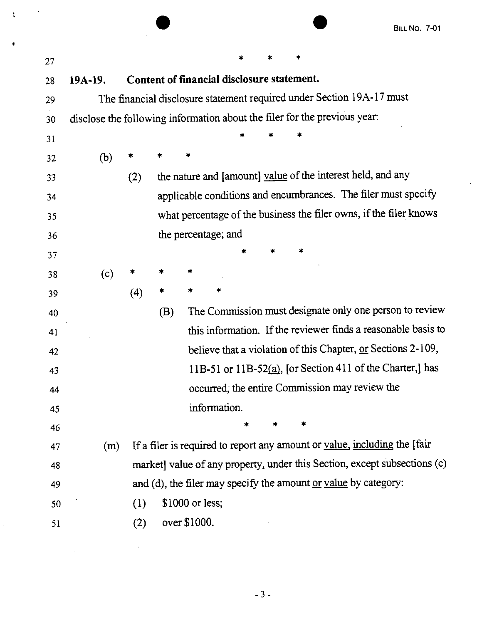$\ddot{\phantom{0}}$ 

|    |                                                                           |                                                                       |     |                 |                                            |   |  |  |  | <b>BILL NO. 7-01</b>                                                      |
|----|---------------------------------------------------------------------------|-----------------------------------------------------------------------|-----|-----------------|--------------------------------------------|---|--|--|--|---------------------------------------------------------------------------|
| 27 |                                                                           |                                                                       |     |                 |                                            |   |  |  |  |                                                                           |
| 28 | 19A-19.                                                                   |                                                                       |     |                 | Content of financial disclosure statement. |   |  |  |  |                                                                           |
| 29 |                                                                           | The financial disclosure statement required under Section 19A-17 must |     |                 |                                            |   |  |  |  |                                                                           |
| 30 | disclose the following information about the filer for the previous year: |                                                                       |     |                 |                                            |   |  |  |  |                                                                           |
| 31 |                                                                           |                                                                       |     |                 |                                            |   |  |  |  |                                                                           |
| 32 | (b)                                                                       |                                                                       |     | ∗               |                                            |   |  |  |  |                                                                           |
| 33 |                                                                           | (2)                                                                   |     |                 |                                            |   |  |  |  | the nature and [amount] value of the interest held, and any               |
| 34 |                                                                           |                                                                       |     |                 |                                            |   |  |  |  | applicable conditions and encumbrances. The filer must specify            |
| 35 |                                                                           |                                                                       |     |                 |                                            |   |  |  |  | what percentage of the business the filer owns, if the filer knows        |
| 36 |                                                                           |                                                                       |     |                 | the percentage; and                        |   |  |  |  |                                                                           |
| 37 |                                                                           |                                                                       |     |                 |                                            |   |  |  |  |                                                                           |
| 38 | (c)                                                                       |                                                                       |     |                 |                                            |   |  |  |  |                                                                           |
| 39 |                                                                           | (4)                                                                   |     |                 |                                            |   |  |  |  |                                                                           |
| 40 |                                                                           |                                                                       | (B) |                 |                                            |   |  |  |  | The Commission must designate only one person to review                   |
| 41 |                                                                           |                                                                       |     |                 |                                            |   |  |  |  | this information. If the reviewer finds a reasonable basis to             |
| 42 |                                                                           |                                                                       |     |                 |                                            |   |  |  |  | believe that a violation of this Chapter, or Sections 2-109,              |
| 43 |                                                                           |                                                                       |     |                 |                                            |   |  |  |  | 11B-51 or 11B-52(a), [or Section 411 of the Charter,] has                 |
| 44 |                                                                           |                                                                       |     |                 |                                            |   |  |  |  | occurred, the entire Commission may review the                            |
| 45 |                                                                           |                                                                       |     |                 | information.                               |   |  |  |  |                                                                           |
| 46 |                                                                           |                                                                       |     |                 |                                            | × |  |  |  |                                                                           |
| 47 | (m)                                                                       |                                                                       |     |                 |                                            |   |  |  |  | If a filer is required to report any amount or value, including the [fair |
| 48 |                                                                           |                                                                       |     |                 |                                            |   |  |  |  | market] value of any property, under this Section, except subsections (c) |
| 49 |                                                                           |                                                                       |     |                 |                                            |   |  |  |  | and (d), the filer may specify the amount or value by category:           |
| 50 |                                                                           | (1)                                                                   |     | \$1000 or less; |                                            |   |  |  |  |                                                                           |
| 51 |                                                                           | (2)                                                                   |     | over \$1000.    |                                            |   |  |  |  |                                                                           |

•

 $\bar{\mathcal{A}}$ 

 $\tilde{\chi}$ 

 $\boldsymbol{\beta}$ 

 $\mathcal{L}$